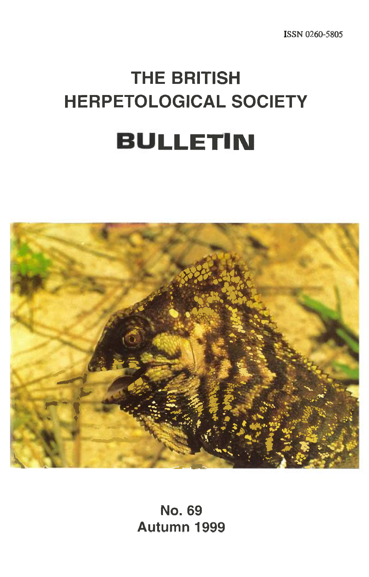**ISSN 0260-5805** 

# **THE BRITISH HERPETOLOGICAL SOCIETY BULLETIN**



**No. 69 Autumn 1999**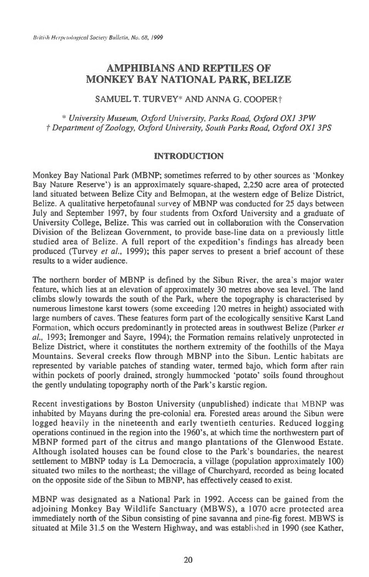# **AMPHIBIANS AND REPTILES OF MONKEY BAY NATIONAL PARK, BELIZE**

### SAMUEL T. TURVEY\* AND ANNA G. COOPER†

*\* University Museum, Oxford University, Parks Road, Oxford OX] 3PW t Department of Zoology, Oxford University, South Parks Road, Oxford OX1 3PS* 

### INTRODUCTION

Monkey Bay National Park (MBNP; sometimes referred to by other sources as 'Monkey Bay Nature Reserve') is an approximately square-shaped, 2,250 acre area of protected land situated between Belize City and Belmopan, at the western edge of Belize District, Belize. A qualitative herpetofaunal survey of MBNP was conducted for 25 days between July and September 1997, by four students from Oxford University and a graduate of University College, Belize. This was carried out in collaboration with the Conservation Division of the Belizean Government, to provide base-line data on a previously little studied area of Belize. A full report of the expedition's findings has already been produced (Turvey *et al.,* 1999); this paper serves to present a brief account of these results to a wider audience.

The northern border of MBNP is defined by the Sibun River, the area's major water feature, which lies at an elevation of approximately 30 metres above sea level. The land climbs slowly towards the south of the Park, where the topography is characterised by numerous limestone karst towers (some exceeding 120 metres in height) associated with large numbers of caves. These features form part of the ecologically sensitive Karst Land Formation, which occurs predominantly in protected areas in southwest Belize (Parker *et al.,* 1993; Iremonger and Sayre, 1994); the Formation remains relatively unprotected in Belize District, where it constitutes the northern extremity of the foothills of the Maya Mountains. Several creeks flow through MBNP into the Sibun. Lentic habitats are represented by variable patches of standing water, termed bajo, which form after rain within pockets of poorly drained, strongly hummocked 'potato' soils found throughout the gently undulating topography north of the Park's karstic region.

Recent investigations by Boston University (unpublished) indicate that MBNP was inhabited by Mayans during the pre-colonial era. Forested areas around the Sibun were logged heavily in the nineteenth and early twentieth centuries. Reduced logging operations continued in the region into the 1960's, at which time the northwestern part of MBNP formed part of the citrus and mango plantations of the Glenwood Estate. Although isolated houses can be found close to the Park's boundaries, the nearest settlement to MBNP today is La Democracia, a village (population approximately 100) situated two miles to the northeast; the village of Churchyard, recorded as being located on the opposite side of the Sibun to MBNP, has effectively ceased to exist.

MBNP was designated as a National Park in 1992. Access can be gained from the adjoining Monkey Bay Wildlife Sanctuary (MBWS), a 1070 acre protected area immediately north of the Sibun consisting of pine savanna and pine-fig forest. MBWS is situated at Mile 31.5 on the Western Highway, and was established in 1990 (see Kather,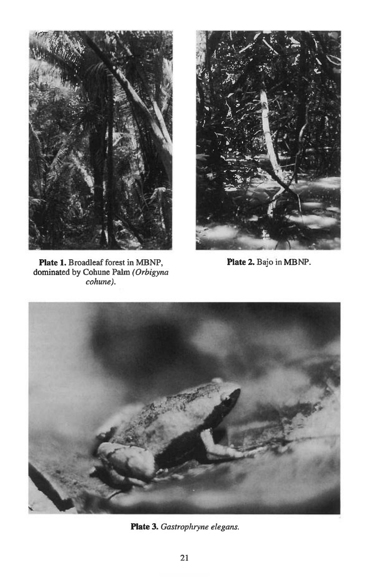

**Plate 1. Broadleaf forest in MBNP, dominated by Cohune Palm** *(Orbigyna cohune).* 



**Plate 2. Bajo in MBNP.** 



**Plate 3.** *Gastrophryne elegans.*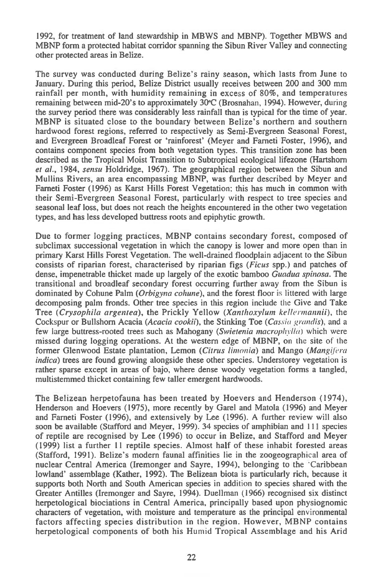1992, for treatment of land stewardship in MBWS and MBNP). Together MBWS and MBNP form a protected habitat corridor spanning the Sibun River Valley and connecting other protected areas in Belize.

The survey was conducted during Belize's rainy season, which lasts from June to January. During this period, Belize District usually receives between 200 and 300 mm rainfall per month, with humidity remaining in excess of 80%, and temperatures remaining between mid-20's to approximately 30°C (Brosnahan, 1994). However, during the survey period there was considerably less rainfall than is typical for the time of year. MBNP is situated close to the boundary between Belize's northern and southern hardwood forest regions, referred to respectively as Semi-Evergreen Seasonal Forest, and Evergreen Broadleaf Forest or 'rainforest' (Meyer and Farneti Foster, 1996), and contains component species from both vegetation types. This transition zone has been described as the Tropical Moist Transition to Subtropical ecological lifezone (Hartshorn *et al.,* 1984, *sensu* Holdridge, 1967). The geographical region between the Sibun and Mullins Rivers, an area encompassing MBNP, was further described by Meyer and Farneti Foster (1996) as Karst Hills Forest Vegetation; this has much in common with their Semi-Evergreen Seasonal Forest, particularly with respect to tree species and seasonal leaf loss, but does not reach the heights encountered in the other two vegetation types, and has less developed buttress roots and epiphytic growth.

Due to former logging practices, MBNP contains secondary forest, composed of subclimax successional vegetation in which the canopy is lower and more open than in primary Karst Hills Forest Vegetation. The well-drained floodplain adjacent to the Sibun consists of riparian forest, characterised by riparian figs *(Ficus* spp.) and patches of dense, impenetrable thicket made up largely of the exotic bamboo *Guadua spinosa.* The transitional and broadleaf secondary forest occurring further away from the Sibun is dominated by Cohune Palm *(Orbigyna cohune),* and the forest floor is littered with large decomposing palm fronds. Other tree species in this region include the Give and Take Tree *(Crysophila argentea),* the Prickly Yellow *(Xanthoxylum kellermannii),* the Cockspur or Bullshorn Acacia *(Acacia cookii),* the Stinking Toe *(Cassia grandis),* and a few large buttress-rooted trees such as Mahogany *(Swietenia macrophylla)* which were missed during logging operations. At the western edge of MBNP, on the site of the former Glenwood Estate plantation, Lemon *(Citrus limonia)* and Mango *(Mangifera indica)* trees are found growing alongside these other species. Understorey vegetation is rather sparse except in areas of bajo, where dense woody vegetation forms a tangled, multistemmed thicket containing few taller emergent hardwoods.

The Belizean herpetofauna has been treated by Hoevers and Henderson (1974), Henderson and Hoevers (1975), more recently by Garel and Matola (1996) and Meyer and Farneti Foster (1996), and extensively by Lee (1996). A further review will also soon be available (Stafford and Meyer, 1999). 34 species of amphibian and 111 species of reptile are recognised by Lee (1996) to occur in Belize, and Stafford and Meyer (1999) list a further 11 reptile species. Almost half of these inhabit forested areas (Stafford, 1991). Belize's modern faunal affinities lie in the zoogeographical area of nuclear Central America (Iremonger and Sayre, 1994), belonging to the 'Caribbean lowland' assemblage (Kather, 1992). The Belizean biota is particularly rich, because it supports both North and South American species in addition to species shared with the Greater Antilles (Iremonger and Sayre, 1994). Duellman (1966) recognised six distinct herpetological biociations in Central America, principally based upon physiognomic characters of vegetation, with moisture and temperature as the principal environmental factors affecting species distribution in the region. However, MBNP contains herpetological components of both his Humid Tropical Assemblage and his Arid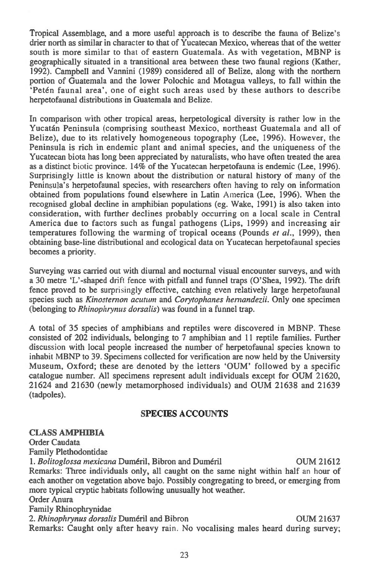Tropical Assemblage, and a more useful approach is to describe the fauna of Belize's drier north as similar in character to that of Yucatecan Mexico, whereas that of the wetter south is more similar to that of eastern Guatemala. As with vegetation, MBNP is geographically situated in a transitional area between these two faunal regions (Kather, 1992). Campbell and Vannini (1989) considered all of Belize, along with the northern portion of Guatemala and the lower Polochic and Motagua valleys, to fall within the `Peten faunal area', one of eight such areas used by these authors to describe herpetofaunal distributions in Guatemala and Belize.

In comparison with other tropical areas, herpetological diversity is rather low in the Yucatan Peninsula (comprising southeast Mexico, northeast Guatemala and all of Belize), due to its relatively homogeneous topography (Lee, 1996). However, the Peninsula is rich in endemic plant and animal species, and the uniqueness of the Yucatecan biota has long been appreciated by naturalists, who have often treated the area as a distinct biotic province. 14% of the Yucatecan herpetofauna is endemic (Lee, 1996). Surprisingly little is known about the distribution or natural history of many of the Peninsula's herpetofaunal species, with researchers often having to rely on information obtained from populations found elsewhere in Latin America (Lee, 1996). When the recognised global decline in amphibian populations (eg. Wake, 1991) is also taken into consideration, with further declines probably occurring on a local scale in Central America due to factors such as fungal pathogens (Lips, 1999) and increasing air temperatures following the warming of tropical oceans (Pounds *et al.,* 1999), then obtaining base-line distributional and ecological data on Yucatecan herpetofaunal species becomes a priority.

Surveying was carried out with diurnal and nocturnal visual encounter surveys, and with a 30 metre `L'-shaped drift fence with pitfall and funnel traps (O'Shea, 1992). The drift fence proved to be surprisingly effective, catching even relatively large herpetofaunal species such as *Kinosternon acutum* and *Corytophanes hernandezii*. Only one specimen (belonging to *Rhinophrynus dorsalis)* was found in a funnel trap.

A total of 35 species of amphibians and reptiles were discovered in MBNP. These consisted of 202 individuals, belonging to 7 amphibian and 11 reptile families. Further discussion with local people increased the number of herpetofaunal species known to inhabit MBNP to 39. Specimens collected for verification are now held by the University Museum, Oxford; these are denoted by the letters `OUM' followed by a specific catalogue number. All specimens represent adult individuals except for OUM 21620, 21624 and 21630 (newly metamorphosed individuals) and OUM 21638 and 21639 (tadpoles).

# SPECIES ACCOUNTS

### **CLASS AMPHIBIA**

Order Caudata Family Plethodontidae *1. Bolitoglossa mexicana* Dumeril, Bibron and Dumeril OUM 21612 Remarks: Three individuals only, all caught on the same night within half an hour of each another on vegetation above bajo. Possibly congregating to breed, or emerging from more typical cryptic habitats following unusually hot weather. Order Anura Family Rhinophrynidae 2. *Rhinophrynus dorsalis* Duméril and Bibron **COUM 21637** OUM 21637 Remarks: Caught only after heavy rain. No vocalising males heard during survey;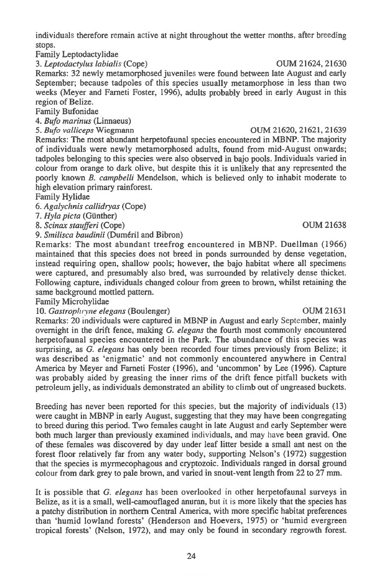individuals therefore remain active at night throughout the wetter months, after breeding stops.

Family Leptodactylidae

*3. Leptodactylus labialis* (Cope) OUM 21624, 21630

Remarks: 32 newly metamorphosed juveniles were found between late August and early September; because tadpoles of this species usually metamorphose in less than two weeks (Meyer and Farneti Foster, 1996), adults probably breed in early August in this region of Belize.

Family Bufonidae

*4. Bufo marinus* (Linnaeus)

*5. Bufo valliceps* Wiegmann OUM 21620, 21621, 21639

Remarks: The most abundant herpetofaunal species encountered in MBNP. The majority of individuals were newly metamorphosed adults, found from mid-August onwards; tadpoles belonging to this species *were* also observed in bajo pools. Individuals varied in colour from orange to dark olive, but despite this it is unlikely that any represented the poorly known *B. campbelli* Mendelson, which is believed only to inhabit moderate to high elevation primary rainforest.

Family Hylidae

*6. Agalychnis callidryas* (Cope)

*7. Hyla pitta* (Gunther)

*8. Scinax staufferi* (Cope) OUM 21638

9. Smilisca baudinii (Duméril and Bibron)

Remarks: The most abundant treefrog encountered in MBNP. Duellman (1966) maintained that this species does not breed in ponds surrounded by dense vegetation, instead requiring open, shallow pools; however, the bajo habitat where all specimens were captured, and presumably also bred, was surrounded by relatively dense thicket. Following capture, individuals changed colour from green to brown, whilst retaining the same background mottled pattern.

Family Microhylidae

10. Gastrophryne elegans (Boulenger) **OUM 21631** 

Remarks: 20 individuals were captured in MBNP in August and early September, mainly overnight in the drift fence, making *G. elegans* the fourth most commonly encountered herpetofaunal species encountered in the Park. The abundance of this species was surprising, as *G. elegans* has only been recorded four times previously from Belize; it was described as `enigmatic' and not commonly encountered anywhere in Central America by Meyer and Farneti Foster (1996), and `uncommon' by Lee (1996). Capture was probably aided by greasing the inner rims of the drift fence pitfall buckets with petroleum jelly, as individuals demonstrated an ability to climb out of ungreased buckets.

Breeding has never been reported for this species, but the majority of individuals (13) were caught in MBNP in early August, suggesting that they may have been congregating to breed during this period. Two females caught in late August and early September were both much larger than previously examined individuals, and may have been gravid. One of these females was discovered by day under leaf litter beside a small ant nest on the forest floor relatively far from any water body, supporting Nelson's (1972) suggestion that the species is myrmecophagous and cryptozoic. Individuals ranged in dorsal ground colour from dark grey to pale brown, and varied in snout-vent length from 22 to 27 mm.

It is possible that *G. elegans* has been overlooked in other herpetofaunal surveys in Belize, as it is a small, well-camouflaged anuran, but it is more likely that the species has a patchy distribution in northern Central America, with more specific habitat preferences than `humid lowland forests' (Henderson and Hoevers, 1975) or `humid evergreen tropical forests' (Nelson, 1972), and may only be found in secondary regrowth forest.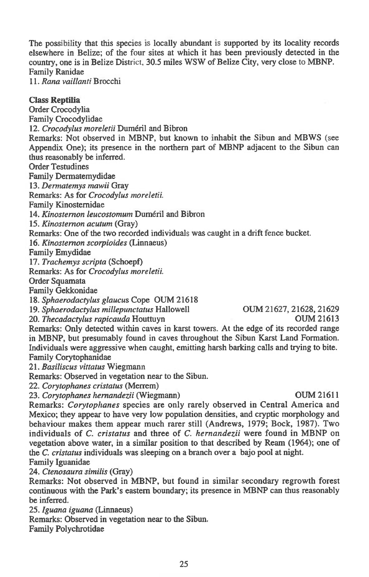The possibility that this species is locally abundant is supported by its locality records elsewhere in Belize; of the four sites at which it has been previously detected in the country, one is in Belize District, 30.5 miles WSW of Belize City, very close to MBNP. Family Ranidae

*11. Rana vaillanti* Brocchi

### Class Reptilia

Order Crocodylia Family Crocodylidae 12. Crocodylus moreletii Duméril and Bibron Remarks: Not observed in MBNP, but known to inhabit the Sibun and MBWS (see Appendix One); its presence in the northern part of MBNP adjacent to the Sibun can thus reasonably be inferred. Order Testudines Family Dermatemydidae *13. Dennatemys mawii* Gray Remarks: As for *Crocodylus moreletii.*  Family Kinosternidae 14. *Kinosternon leucostomum* Duméril and Bibron *15. Kinosternon acutum* (Gray) Remarks: One of the two recorded individuals was caught in a drift fence bucket. *16. Kinosternon scorpioides* (Linnaeus) Family Emydidae *17. Trachemys scripta* (Schoepf) Remarks: As for *Crocodylus moreletii.*  Order Squamata Family Gekkonidae *18. Sphaerodactylus glaucus* Cope OUM 21618 19. Sphaerodactylus millepunctatus Hallowell **19. Sphaerodactylus millepunctatus Hallowell OUM 21627**, 21628, 21629<br>20. Thecadactylus rapicauda Houttuyn **20. Thecadactylus rapicauda Houttuyn** Remarks: Only detected within caves in karst towers. At the edge of its recorded range in MBNP, but presumably found in caves throughout the Sibun Karst Land Formation. Individuals were aggressive when caught, emitting harsh barking calls and trying to bite. Family Corytophanidae *21. Basiliscus vittatus* Wiegmann Remarks: Observed in vegetation near to the Sibun. *22. Corytophanes cristatus* (Menem) *23. Corytophanes hernandezii* (Wiegmann) OUM 21611 Remarks: *Corytophanes* species are only rarely observed in Central America and Mexico; they appear to have very low population densities, and cryptic morphology and behaviour makes them appear much rarer still (Andrews, 1979; Bock, 1987). Two individuals of *C. cristatus* and three of *C. hernandezii* were found in MBNP on vegetation above water, in a similar position to that described by Ream (1964); one of the *C. cristatus* individuals was sleeping on a branch over a bajo pool at night.

Family Iguanidae

*24. Ctenosaura similis* (Gray)

Remarks: Not observed in MBNP, but found in similar secondary regrowth forest continuous with the Park's eastern boundary; its presence in MBNP can thus reasonably be inferred.

*25. Iguana iguana* (Linnaeus)

Remarks: Observed in vegetation near to the Sibun.

Family Polychrotidae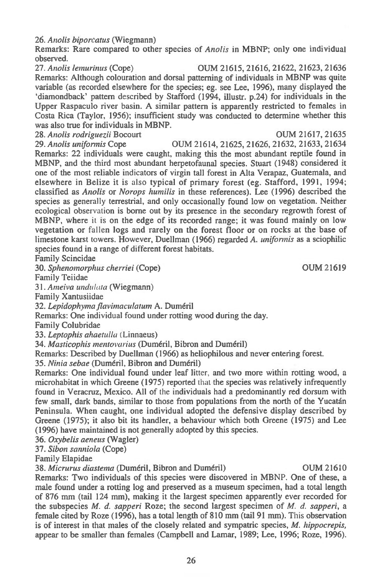*26. Anolis biporcatus* (Wiegmann)

Remarks: Rare compared to other species of *Anolis* in MBNP; only one individual observed.

*27. Anolis lemurinus* (Cope) OUM 21615, 21616, 21622, 21623, 21636 Remarks: Although colouration and dorsal patterning of individuals in MBNP was quite variable (as recorded elsewhere for the species; eg. see Lee, 1996), many displayed the `diamondback' pattern described by Stafford (1994, illustr. p.24) for individuals in the Upper Raspaculo river basin. A similar pattern is apparently restricted to females in Costa Rica (Taylor, 1956); insufficient study was conducted to determine whether this was also true for individuals in MBNP.

*28. Anolis rodriguezii* Bocourt OUM 21617, 21635 *29. Anolis unifonnis* Cope OUM 21614, 21625, 21626, 21632, 21633, 21634 Remarks: 22 individuals were caught, making this the most abundant reptile found in MBNP, and the third most abundant herpetofaunal species. Stuart (1948) considered it one of the most reliable indicators of virgin tall forest in Alta Verapaz, Guatemala, and elsewhere in Belize it is also typical of primary forest (eg. Stafford, 1991, 1994; classified as *Anolis* or *Norops humilis* in these references). Lee (1996) described the species as generally terrestrial, and only occasionally found low on vegetation. Neither ecological observation is borne out by its presence in the secondary regrowth forest of MBNP, where it is on the edge of its recorded range; it was found mainly on low vegetation or fallen logs and rarely on the forest floor or on rocks at the base of limestone karst towers. However, Duellman (1966) regarded *A. unifonnis as* a sciophilic species found in a range of different forest habitats.

Family Scincidae

*30. Sphenomorphus cherriei* (Cope) OUM 21619

Family Teiidae

*31. Ameiva undulala* (Wiegmann)

Family Xantusiidae

*32. Lepidophyma flavimaculatum* A. Dumeril

Remarks: One individual found under rotting wood during the day.

Family Colubridae

*33. Leptophis ahaetulla* (Linnaeus)

*34. Masticophis mentovarius* (Dumeril, Bibron and Dumeril)

Remarks: Described by Duellman (1966) as heliophilous and never entering forest.

35. Ninia sebae (Duméril, Bibron and Duméril)

Remarks: One individual found under leaf litter, and two more within rotting wood, a microhabitat in which Greene (1975) reported that the species was relatively infrequently found in Veracruz, Mexico. All of the individuals had a predominantly red dorsum with few small, dark bands, similar to those from populations from the north of the Yucatan Peninsula. When caught, one individual adopted the defensive display described by Greene (1975); it also bit its handler, a behaviour which both Greene (1975) and Lee (1996) have maintained is not generally adopted by this species.

*36. Oxybelis aeneus* (Wagler)

*37. Sibon sanniola* (Cope)

Family Elapidae

*38. Micntrus diastema* (Dumeril, Bibron and Dumeril) OUM 21610

Remarks: Two individuals of this species were discovered in MBNP. One of these, a male found under a rotting log and preserved as a museum specimen, had a total length of 876 mm (tail 124 mm), making it the largest specimen apparently ever recorded for the subspecies *M. d. sapperi* Roze; the second largest specimen of *M. d. sapperi, a female* cited by Roze (1996), has a total length of 810 mm (tail 91 mm). This observation is of interest in that males of the closely related and sympatric species, *M. hippocrepis,*  appear to be smaller than females (Campbell and Lamar, 1989; Lee, 1996; Roze, 1996).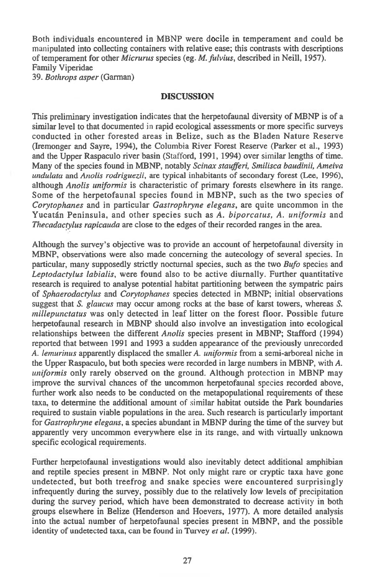Both individuals encountered in MBNP were docile in temperament and could be manipulated into collecting containers with relative ease; this contrasts with descriptions of temperament for other *Micrurus* species (eg. *M. fulvius,* described in Neill, 1957). Family Viperidae 39. *Bothrops asper* (Garman)

## DISCUSSION

This preliminary investigation indicates that the herpetofaunal diversity of MBNP is of a similar level to that documented in rapid ecological assessments or more specific surveys conducted in other forested areas in Belize, such as the Bladen Nature Reserve (Iremonger and Sayre, 1994), the Columbia River Forest Reserve (Parker et al., 1993) and the Upper Raspaculo river basin (Stafford, 1991, 1994) over similar lengths of time. Many of the species found in MBNP, notably *Scinax staufferi, Smilisca baudinii, Ameiva undulata* and *Anolis rodriguezii,* are typical inhabitants of secondary forest (Lee, 1996), although *Anolis uniformis* is characteristic of primary forests elsewhere in its range. Some of the herpetofaunal species found in MBNP, such as the two species of *Corytophanes* and in particular *Gastrophryne elegans,* are quite uncommon in the Yucatan Peninsula, and other species such as *A. biporcatus, A. uniformis* and *Thecadactylus rapicauda* are close to the edges of their recorded ranges in the area.

Although the survey's objective was to provide an account of herpetofaunal diversity in MBNP, observations were also made concerning the autecology of several species. In particular, many supposedly strictly nocturnal species, such as the two *Bufo* species and *Leptodactylus labialis,* were found also to be active diurnally. Further quantitative research is required to analyse potential habitat partitioning between the sympatric pairs of *Sphaerodactylus* and *Corytophanes* species detected in MBNP; initial observations suggest that *S. glaucus* may occur among rocks at the base of karst towers, whereas *S. millepunctatus* was only detected in leaf litter on the forest floor. Possible future herpetofaunal research in MBNP should also involve an investigation into ecological relationships between the different *Anolis* species present in MBNP; Stafford (1994) reported that between 1991 and 1993 a sudden appearance of the previously unrecorded *A. lemurinus* apparently displaced the smaller *A. uniformis* from a semi-arboreal niche in the Upper Raspaculo, but both species were recorded in large numbers in MBNP, with *A. uniformis* only rarely observed on the ground. Although protection in MBNP may improve the survival chances of the uncommon herpetofaunal species recorded above, further work also needs to be conducted on the metapopulational requirements of these taxa, to determine the additional amount of similar habitat outside the Park boundaries required to sustain viable populations in the area. Such research is particularly important for *Gastrophryne elegans,* a species abundant in MBNP during the time of the survey but apparently very uncommon everywhere else in its range, and with virtually unknown specific ecological requirements.

Further herpetofaunal investigations would also inevitably detect additional amphibian and reptile species present in MBNP. Not only might rare or cryptic taxa have gone undetected, but both treefrog and snake species were encountered surprisingly infrequently during the survey, possibly due to the relatively low levels of precipitation during the survey period, which have been demonstrated to decrease activity in both groups elsewhere in Belize (Henderson and Hoevers, 1977). A more detailed analysis into the actual number of herpetofaunal species present in MBNP, and the possible identity of undetected taxa, can be found in Turvey *et* a/. (1999).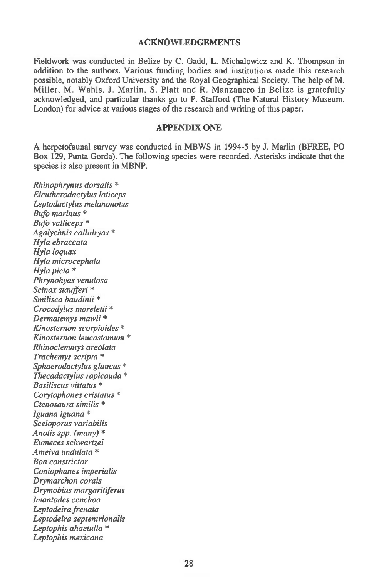### **ACKNOWLEDGEMENTS**

**Fieldwork was conducted in Belize by C. Gadd, L. Michalowicz and K. Thompson in addition to the authors. Various funding bodies and institutions made this research possible, notably Oxford University and the Royal Geographical Society. The help of M. Miller, M. Wahls, J. Marlin, S. Platt and R. Manzanero in Belize is gratefully acknowledged, and particular thanks go to P. Stafford (The Natural History Museum, London) for advice at various stages of the research and writing of this paper.** 

### **APPENDIX ONE**

**A herpetofaunal survey was conducted in MBWS in 1994-5 by J. Marlin (BFREE, PO Box 129, Punta Gorda). The following species were recorded. Asterisks indicate that the species is also present in MBNP.** 

*Rhinophrynus dorsalis \* Eleutherodactylus laticeps Leptodactylus melanonotus Bufo marinus \* Bufo valliceps \* Agalychnis callidryas \* Hyla ebraccata Hyla loquax Hyla microcephala Hyla picta \* Phrynohyas venulosa Scinax staufferi \* Smilisca baudinii \* Crocodylus moreletii \* Dermatemys mawii \* Kinosternon scorpioides \* Kinosternon leucostomum \* Rhinoclemmys areolata Trachemys scripta \* Sphaerodactylus glaucus \* Thecadactylus rapicauda \* Basiliscus vittatus \* Corytophanes cristatus \* Ctenosaura similis \* Iguana iguana \* Sceloporus variabilis Anolis spp. (many) \* Eumeces schwartzei Ameiva undulata \* Boa constrictor Coniophanes imperialis Drymarchon corals Diymobius margaritiferus Itnantodes cenchoa Leptodeira frenata Leptodeira septentrionalis Leptophis ahaetulla \* Leptophis mexicana*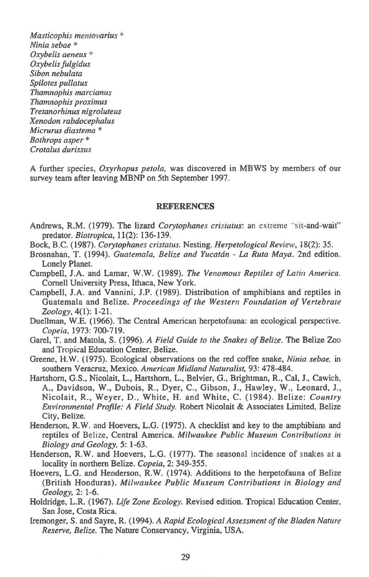*Masticophis mentovarius \* Ninia sebae \* Oxybelis aeneus \* Oxybelis fulgidus Sibon nebulata Spilotes pullatus Thamnophis marcianus Thamnophis proximus Tretanorhinus nigroluteus Xenodon rabdocephalus Micrurus diastema \* Bothrops asper \* Crotalus durissus* 

A further species, *Oxyrhopus petola,* was discovered in MBWS by members of our survey team after leaving MBNP on 5th September 1997.

### **REFERENCES**

- Andrews, R.M. (1979). The lizard *Corytophanes cristatus:* an extreme "sit-and-wait" predator. *Biotropica,* 11(2): 136-139.
- Bock, B.C. (1987). *Corytophanes cristatus.* Nesting. *Herpetological Review,* 18(2): 35.
- Brosnahan, T. (1994). *Guatemala, Belize and Yucatdn La Ruta Maya.* 2nd edition. Lonely Planet.
- Campbell, J.A. and Lamar, W.W. (1989). *The Venomous Reptiles of Latin America.*  Cornell University Press, Ithaca, New York.
- Campbell, J.A. and Vannini, J.P. (1989). Distribution of amphibians and reptiles in Guatemala and Belize. *Proceedings of the Western Foundation of Vertebrate Zoology,* 4(1): 1-21.
- Duellman, W.E. (1966). The Central American herpetofauna: an ecological perspective. *Copeia,* 1973: 700-719.
- Garel, T. and Matola, S. (1996). *A Field Guide to the Snakes of Belize.* The Belize Zoo and Tropical Education Center, Belize.
- Greene, H.W. (1975). Ecological observations on the red coffee snake, *Ninia sebae,* in southern Veracruz, Mexico. *American Midland Naturalist,* 93: 478-484.
- Hartshorn, G.S., Nicolait, L., Hartshorn, L., Belvier, G., Brightman, R., Cal, J., Cawich, A., Davidson, W., Dubois, R., Dyer, C., Gibson, J., Hawley, W., Leonard, J., Nicolait, R., Weyer, D., White, H. and White, C. (1984). Belize: *Country Environmental Profile: A Field Study.* Robert Nicolait & Associates Limited, Belize City, Belize.
- Henderson, R.W. and Hoevers, L.G. (1975). A checklist and key to the amphibians and reptiles of Belize, Central America. *Milwaukee Public Museum Contributions in Biology and Geology,* 5: 1-63.
- Henderson, R.W. and Hoevers, L.G. (1977). The seasonal incidence of snakes at a locality in northern Belize. *Copeia,* 2: 349-355.
- Hoevers, L.G. and Henderson, R.W. (1974). Additions to the herpetofauna of Belize (British Honduras). *Milwaukee Public Museum Contributions in Biology and Geology,* 2: 1-6.
- Holdridge, L.R. (1967). *Life Zone Ecology.* Revised edition. Tropical Education Center, San Jose, Costa Rica.
- Iremonger, S. and Sayre, R. (1994). A *Rapid Ecological Assessment of the Bladen Nature Reserve, Belize.* The Nature Conservancy, Virginia, USA.